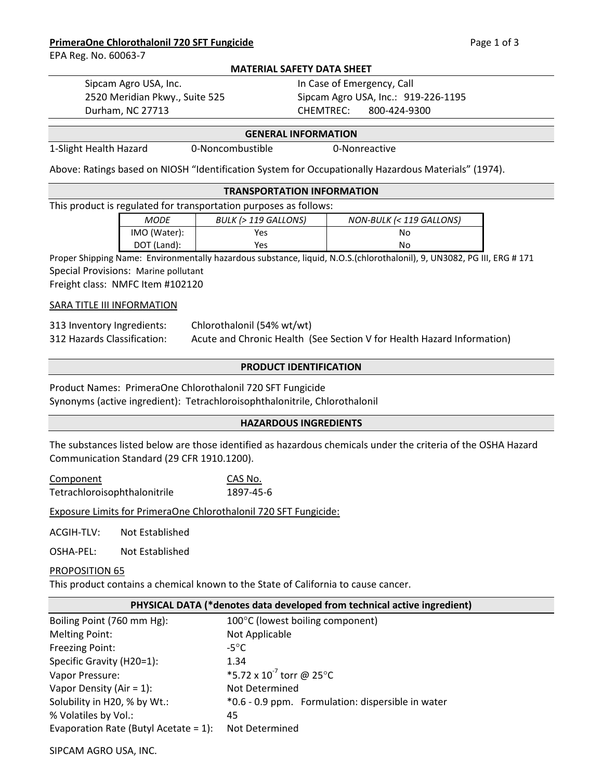### **PrimeraOne Chlorothalonil 720 SFT Fungicide Access 2008 120 SET Fungicide** Page 1 of 3

EPA Reg. No. 60063-7

#### **MATERIAL SAFETY DATA SHEET**

Sipcam Agro USA, Inc. The Case of Emergency, Call 2520 Meridian Pkwy., Suite 525 Sipcam Agro USA, Inc.: 919-226-1195 Durham, NC 27713 CHEMTREC: 800-424-9300

#### **GENERAL INFORMATION**

1-Slight Health Hazard 0-Noncombustible 0-Nonreactive

Above: Ratings based on NIOSH "Identification System for Occupationally Hazardous Materials" (1974).

### **TRANSPORTATION INFORMATION**

This product is regulated for transportation purposes as follows:

| MODE         | BULK (> 119 GALLONS) | NON-BULK (< 119 GALLONS) |
|--------------|----------------------|--------------------------|
| IMO (Water): | Yes                  | Nο                       |
| DOT (Land):  | Yes                  | No                       |

Proper Shipping Name: Environmentally hazardous substance, liquid, N.O.S.(chlorothalonil), 9, UN3082, PG III, ERG # 171 Special Provisions: Marine pollutant

Freight class: NMFC Item #102120

## **SARA TITLE III INFORMATION**

| 313 Inventory Ingredients:  | Chlorothalonil (54% wt/wt)                                             |
|-----------------------------|------------------------------------------------------------------------|
| 312 Hazards Classification: | Acute and Chronic Health (See Section V for Health Hazard Information) |

### **PRODUCT IDENTIFICATION**

# Product Names: PrimeraOne Chlorothalonil 720 SFT Fungicide

Synonyms (active ingredient): Tetrachloroisophthalonitrile, Chlorothalonil

### **HAZARDOUS INGREDIENTS**

The substances listed below are those identified as hazardous chemicals under the criteria of the OSHA Hazard Communication Standard (29 CFR 1910.1200).

Component Tetrachloroisophthalonitrile 1897-45-6 CAS No.

Exposure Limits for PrimeraOne Chlorothalonil 720 SFT Fungicide:

ACGIH-TLV: Not Established

OSHA-PEL: Not Established

### PROPOSITION 65

This product contains a chemical known to the State of California to cause cancer.

### **PHYSICAL DATA (\*denotes data developed from technical active ingredient)**

| Boiling Point (760 mm Hg):               | 100°C (lowest boiling component)                  |
|------------------------------------------|---------------------------------------------------|
| <b>Melting Point:</b>                    | Not Applicable                                    |
| <b>Freezing Point:</b>                   | $-5^{\circ}$ C                                    |
| Specific Gravity (H20=1):                | 1.34                                              |
| Vapor Pressure:                          | *5.72 x $10^{-7}$ torr @ 25°C                     |
| Vapor Density (Air = $1$ ):              | Not Determined                                    |
| Solubility in H20, % by Wt.:             | *0.6 - 0.9 ppm. Formulation: dispersible in water |
| % Volatiles by Vol.:                     | 45                                                |
| Evaporation Rate (Butyl Acetate = $1$ ): | Not Determined                                    |

SIPCAM AGRO USA, INC.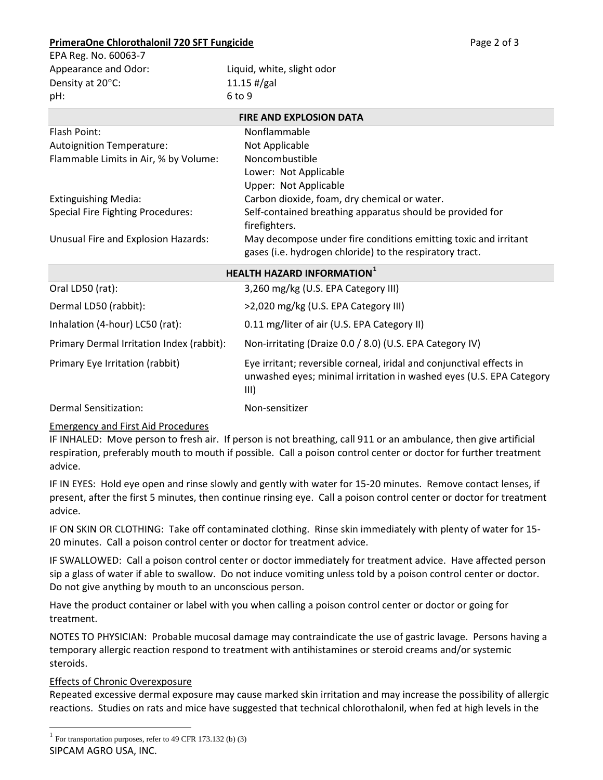# **PrimeraOne Chlorothalonil 720 SFT Fungicide 2001 120 SET Fungicide** Page 2 of 3

| EPA Reg. No. 60063-7 |                            |
|----------------------|----------------------------|
| Appearance and Odor: | Liquid, white, slight odor |
| Density at 20°C:     | $11.15$ #/gal              |
| pH:                  | 6 to 9                     |
|                      |                            |

| <b>FIRE AND EXPLOSION DATA</b>           |                                                                                                                             |  |
|------------------------------------------|-----------------------------------------------------------------------------------------------------------------------------|--|
| Flash Point:                             | Nonflammable                                                                                                                |  |
| <b>Autoignition Temperature:</b>         | Not Applicable                                                                                                              |  |
| Flammable Limits in Air, % by Volume:    | Noncombustible                                                                                                              |  |
|                                          | Lower: Not Applicable                                                                                                       |  |
|                                          | Upper: Not Applicable                                                                                                       |  |
| <b>Extinguishing Media:</b>              | Carbon dioxide, foam, dry chemical or water.                                                                                |  |
| <b>Special Fire Fighting Procedures:</b> | Self-contained breathing apparatus should be provided for                                                                   |  |
|                                          | firefighters.                                                                                                               |  |
| Unusual Fire and Explosion Hazards:      | May decompose under fire conditions emitting toxic and irritant<br>gases (i.e. hydrogen chloride) to the respiratory tract. |  |

| <b>HEALTH HAZARD INFORMATION</b> <sup>1</sup> |                                                                                                                                                     |  |
|-----------------------------------------------|-----------------------------------------------------------------------------------------------------------------------------------------------------|--|
| Oral LD50 (rat):                              | 3,260 mg/kg (U.S. EPA Category III)                                                                                                                 |  |
| Dermal LD50 (rabbit):                         | >2,020 mg/kg (U.S. EPA Category III)                                                                                                                |  |
| Inhalation (4-hour) LC50 (rat):               | 0.11 mg/liter of air (U.S. EPA Category II)                                                                                                         |  |
| Primary Dermal Irritation Index (rabbit):     | Non-irritating (Draize 0.0 / 8.0) (U.S. EPA Category IV)                                                                                            |  |
| Primary Eye Irritation (rabbit)               | Eye irritant; reversible corneal, iridal and conjunctival effects in<br>unwashed eyes; minimal irritation in washed eyes (U.S. EPA Category<br>III) |  |
| Dermal Sensitization:                         | Non-sensitizer                                                                                                                                      |  |

# Emergency and First Aid Procedures

IF INHALED: Move person to fresh air. If person is not breathing, call 911 or an ambulance, then give artificial respiration, preferably mouth to mouth if possible. Call a poison control center or doctor for further treatment advice.

IF IN EYES: Hold eye open and rinse slowly and gently with water for 15-20 minutes. Remove contact lenses, if present, after the first 5 minutes, then continue rinsing eye. Call a poison control center or doctor for treatment advice.

IF ON SKIN OR CLOTHING: Take off contaminated clothing. Rinse skin immediately with plenty of water for 15- 20 minutes. Call a poison control center or doctor for treatment advice.

IF SWALLOWED: Call a poison control center or doctor immediately for treatment advice. Have affected person sip a glass of water if able to swallow. Do not induce vomiting unless told by a poison control center or doctor. Do not give anything by mouth to an unconscious person.

Have the product container or label with you when calling a poison control center or doctor or going for treatment.

NOTES TO PHYSICIAN: Probable mucosal damage may contraindicate the use of gastric lavage. Persons having a temporary allergic reaction respond to treatment with antihistamines or steroid creams and/or systemic steroids.

# Effects of Chronic Overexposure

Repeated excessive dermal exposure may cause marked skin irritation and may increase the possibility of allergic reactions. Studies on rats and mice have suggested that technical chlorothalonil, when fed at high levels in the

<span id="page-1-0"></span>SIPCAM AGRO USA, INC.  $1$  For transportation purposes, refer to 49 CFR 173.132 (b) (3)